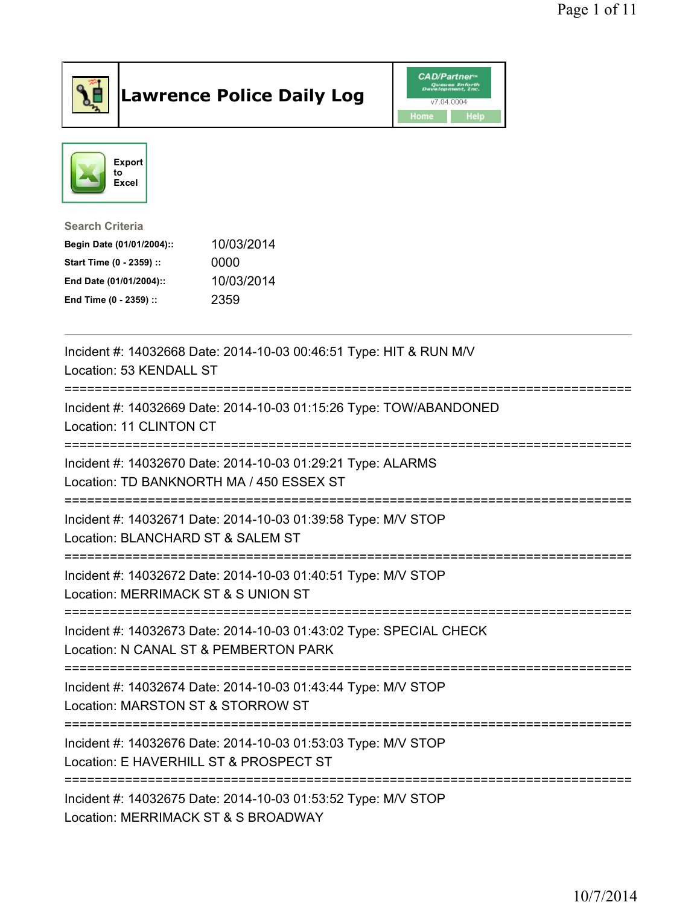

## Lawrence Police Daily Log **Daniel CAD/Partner**





Search Criteria Begin Date (01/01/2004):: 10/03/2014 Start Time (0 - 2359) :: 0000 End Date (01/01/2004):: 10/03/2014 End Time (0 - 2359) :: 2359

| Incident #: 14032668 Date: 2014-10-03 00:46:51 Type: HIT & RUN M/V<br>Location: 53 KENDALL ST                                |
|------------------------------------------------------------------------------------------------------------------------------|
| Incident #: 14032669 Date: 2014-10-03 01:15:26 Type: TOW/ABANDONED<br>Location: 11 CLINTON CT                                |
| Incident #: 14032670 Date: 2014-10-03 01:29:21 Type: ALARMS<br>Location: TD BANKNORTH MA / 450 ESSEX ST                      |
| Incident #: 14032671 Date: 2014-10-03 01:39:58 Type: M/V STOP<br>Location: BLANCHARD ST & SALEM ST                           |
| Incident #: 14032672 Date: 2014-10-03 01:40:51 Type: M/V STOP<br>Location: MERRIMACK ST & S UNION ST                         |
| Incident #: 14032673 Date: 2014-10-03 01:43:02 Type: SPECIAL CHECK<br>Location: N CANAL ST & PEMBERTON PARK                  |
| Incident #: 14032674 Date: 2014-10-03 01:43:44 Type: M/V STOP<br>Location: MARSTON ST & STORROW ST<br>;===================== |
| Incident #: 14032676 Date: 2014-10-03 01:53:03 Type: M/V STOP<br>Location: E HAVERHILL ST & PROSPECT ST                      |
| Incident #: 14032675 Date: 2014-10-03 01:53:52 Type: M/V STOP<br>Location: MERRIMACK ST & S BROADWAY                         |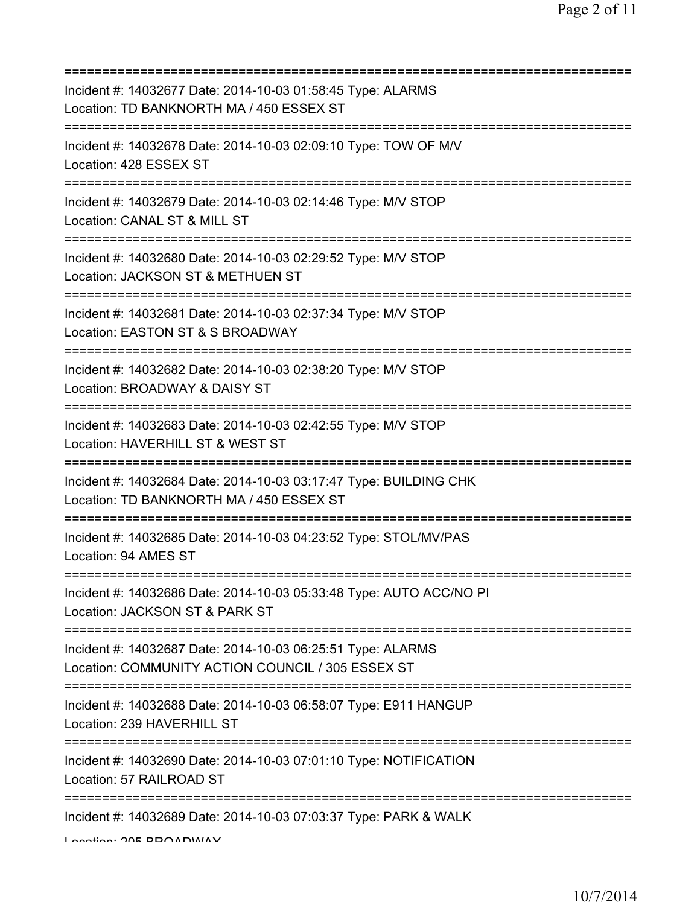| Incident #: 14032677 Date: 2014-10-03 01:58:45 Type: ALARMS<br>Location: TD BANKNORTH MA / 450 ESSEX ST                                    |
|--------------------------------------------------------------------------------------------------------------------------------------------|
| Incident #: 14032678 Date: 2014-10-03 02:09:10 Type: TOW OF M/V<br>Location: 428 ESSEX ST                                                  |
| Incident #: 14032679 Date: 2014-10-03 02:14:46 Type: M/V STOP<br>Location: CANAL ST & MILL ST                                              |
| Incident #: 14032680 Date: 2014-10-03 02:29:52 Type: M/V STOP<br>Location: JACKSON ST & METHUEN ST                                         |
| Incident #: 14032681 Date: 2014-10-03 02:37:34 Type: M/V STOP<br>Location: EASTON ST & S BROADWAY<br>===================================== |
| Incident #: 14032682 Date: 2014-10-03 02:38:20 Type: M/V STOP<br>Location: BROADWAY & DAISY ST<br>===========================              |
| Incident #: 14032683 Date: 2014-10-03 02:42:55 Type: M/V STOP<br>Location: HAVERHILL ST & WEST ST                                          |
| Incident #: 14032684 Date: 2014-10-03 03:17:47 Type: BUILDING CHK<br>Location: TD BANKNORTH MA / 450 ESSEX ST                              |
| Incident #: 14032685 Date: 2014-10-03 04:23:52 Type: STOL/MV/PAS<br>Location: 94 AMES ST                                                   |
| =======================<br>Incident #: 14032686 Date: 2014-10-03 05:33:48 Type: AUTO ACC/NO PI<br>Location: JACKSON ST & PARK ST           |
| Incident #: 14032687 Date: 2014-10-03 06:25:51 Type: ALARMS<br>Location: COMMUNITY ACTION COUNCIL / 305 ESSEX ST                           |
| Incident #: 14032688 Date: 2014-10-03 06:58:07 Type: E911 HANGUP<br>Location: 239 HAVERHILL ST                                             |
| ====================================<br>Incident #: 14032690 Date: 2014-10-03 07:01:10 Type: NOTIFICATION<br>Location: 57 RAILROAD ST      |
| Incident #: 14032689 Date: 2014-10-03 07:03:37 Type: PARK & WALK                                                                           |

Location: 205 BROADWAY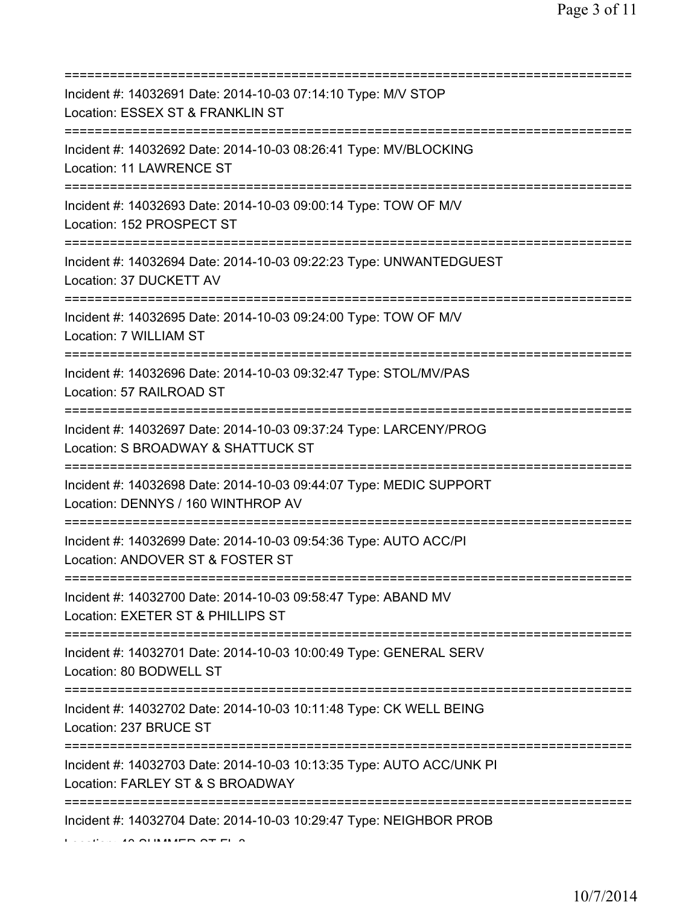| Incident #: 14032691 Date: 2014-10-03 07:14:10 Type: M/V STOP<br>Location: ESSEX ST & FRANKLIN ST<br>======================                      |
|--------------------------------------------------------------------------------------------------------------------------------------------------|
| Incident #: 14032692 Date: 2014-10-03 08:26:41 Type: MV/BLOCKING<br>Location: 11 LAWRENCE ST                                                     |
| Incident #: 14032693 Date: 2014-10-03 09:00:14 Type: TOW OF M/V<br>Location: 152 PROSPECT ST                                                     |
| Incident #: 14032694 Date: 2014-10-03 09:22:23 Type: UNWANTEDGUEST<br>Location: 37 DUCKETT AV<br>======================================          |
| Incident #: 14032695 Date: 2014-10-03 09:24:00 Type: TOW OF M/V<br>Location: 7 WILLIAM ST                                                        |
| ===========================<br>Incident #: 14032696 Date: 2014-10-03 09:32:47 Type: STOL/MV/PAS<br>Location: 57 RAILROAD ST                      |
| Incident #: 14032697 Date: 2014-10-03 09:37:24 Type: LARCENY/PROG<br>Location: S BROADWAY & SHATTUCK ST<br>======================                |
| Incident #: 14032698 Date: 2014-10-03 09:44:07 Type: MEDIC SUPPORT<br>Location: DENNYS / 160 WINTHROP AV                                         |
| Incident #: 14032699 Date: 2014-10-03 09:54:36 Type: AUTO ACC/PI<br>Location: ANDOVER ST & FOSTER ST                                             |
| Incident #: 14032700 Date: 2014-10-03 09:58:47 Type: ABAND MV<br>Location: EXETER ST & PHILLIPS ST                                               |
| Incident #: 14032701 Date: 2014-10-03 10:00:49 Type: GENERAL SERV<br>Location: 80 BODWELL ST                                                     |
| Incident #: 14032702 Date: 2014-10-03 10:11:48 Type: CK WELL BEING<br>Location: 237 BRUCE ST                                                     |
| ====================================<br>Incident #: 14032703 Date: 2014-10-03 10:13:35 Type: AUTO ACC/UNK PI<br>Location: FARLEY ST & S BROADWAY |
| Incident #: 14032704 Date: 2014-10-03 10:29:47 Type: NEIGHBOR PROB                                                                               |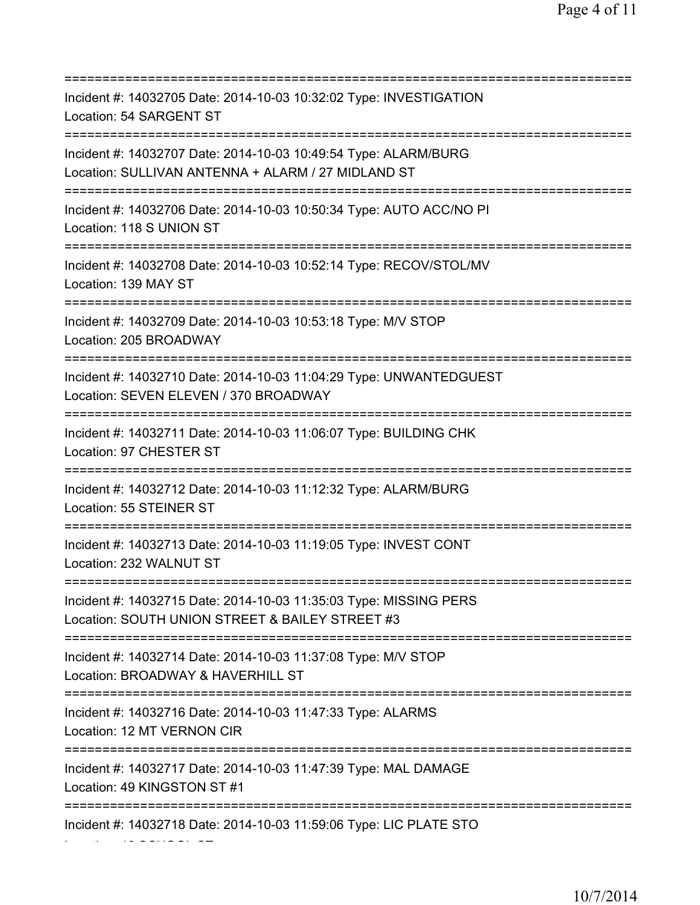=========================================================================== Incident #: 14032705 Date: 2014-10-03 10:32:02 Type: INVESTIGATION Location: 54 SARGENT ST =========================================================================== Incident #: 14032707 Date: 2014-10-03 10:49:54 Type: ALARM/BURG Location: SULLIVAN ANTENNA + ALARM / 27 MIDLAND ST =========================================================================== Incident #: 14032706 Date: 2014-10-03 10:50:34 Type: AUTO ACC/NO PI Location: 118 S UNION ST =========================================================================== Incident #: 14032708 Date: 2014-10-03 10:52:14 Type: RECOV/STOL/MV Location: 139 MAY ST =========================================================================== Incident #: 14032709 Date: 2014-10-03 10:53:18 Type: M/V STOP Location: 205 BROADWAY =========================================================================== Incident #: 14032710 Date: 2014-10-03 11:04:29 Type: UNWANTEDGUEST Location: SEVEN ELEVEN / 370 BROADWAY =========================================================================== Incident #: 14032711 Date: 2014-10-03 11:06:07 Type: BUILDING CHK Location: 97 CHESTER ST =========================================================================== Incident #: 14032712 Date: 2014-10-03 11:12:32 Type: ALARM/BURG Location: 55 STEINER ST =========================================================================== Incident #: 14032713 Date: 2014-10-03 11:19:05 Type: INVEST CONT Location: 232 WALNUT ST =========================================================================== Incident #: 14032715 Date: 2014-10-03 11:35:03 Type: MISSING PERS Location: SOUTH UNION STREET & BAILEY STREET #3 =========================================================================== Incident #: 14032714 Date: 2014-10-03 11:37:08 Type: M/V STOP Location: BROADWAY & HAVERHILL ST =========================================================================== Incident #: 14032716 Date: 2014-10-03 11:47:33 Type: ALARMS Location: 12 MT VERNON CIR =========================================================================== Incident #: 14032717 Date: 2014-10-03 11:47:39 Type: MAL DAMAGE Location: 49 KINGSTON ST #1 =========================================================================== Incident #: 14032718 Date: 2014-10-03 11:59:06 Type: LIC PLATE STO

Location: 18 SCHOOL ST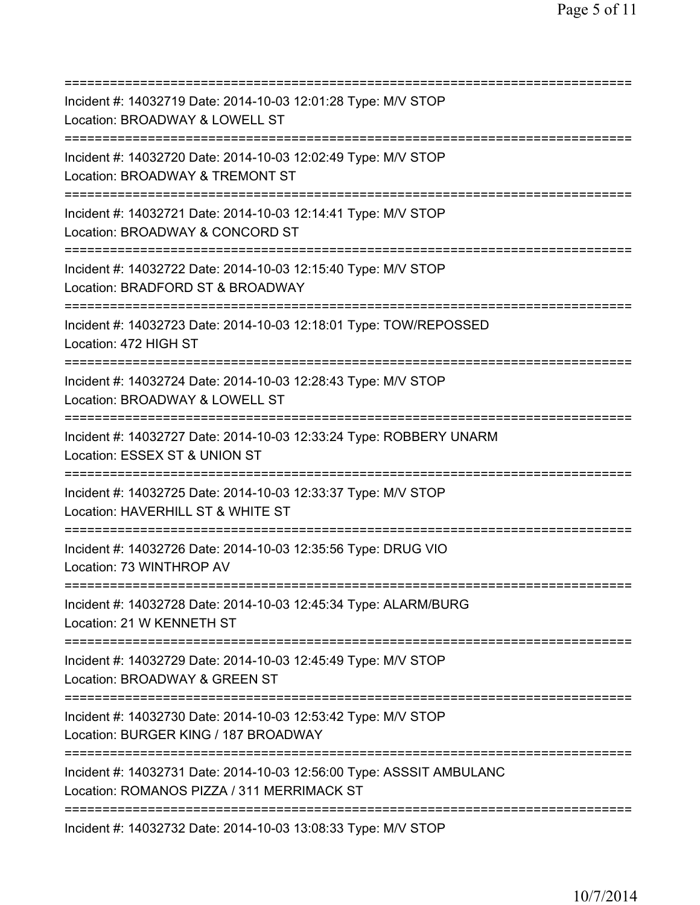| Incident #: 14032719 Date: 2014-10-03 12:01:28 Type: M/V STOP<br>Location: BROADWAY & LOWELL ST                              |
|------------------------------------------------------------------------------------------------------------------------------|
| Incident #: 14032720 Date: 2014-10-03 12:02:49 Type: M/V STOP<br>Location: BROADWAY & TREMONT ST                             |
| ------------------------<br>Incident #: 14032721 Date: 2014-10-03 12:14:41 Type: M/V STOP<br>Location: BROADWAY & CONCORD ST |
| Incident #: 14032722 Date: 2014-10-03 12:15:40 Type: M/V STOP<br>Location: BRADFORD ST & BROADWAY                            |
| Incident #: 14032723 Date: 2014-10-03 12:18:01 Type: TOW/REPOSSED<br>Location: 472 HIGH ST                                   |
| Incident #: 14032724 Date: 2014-10-03 12:28:43 Type: M/V STOP<br>Location: BROADWAY & LOWELL ST                              |
| Incident #: 14032727 Date: 2014-10-03 12:33:24 Type: ROBBERY UNARM<br>Location: ESSEX ST & UNION ST                          |
| Incident #: 14032725 Date: 2014-10-03 12:33:37 Type: M/V STOP<br>Location: HAVERHILL ST & WHITE ST                           |
| Incident #: 14032726 Date: 2014-10-03 12:35:56 Type: DRUG VIO<br>Location: 73 WINTHROP AV                                    |
| Incident #: 14032728 Date: 2014-10-03 12:45:34 Type: ALARM/BURG<br>Location: 21 W KENNETH ST                                 |
| Incident #: 14032729 Date: 2014-10-03 12:45:49 Type: M/V STOP<br>Location: BROADWAY & GREEN ST                               |
| Incident #: 14032730 Date: 2014-10-03 12:53:42 Type: M/V STOP<br>Location: BURGER KING / 187 BROADWAY                        |
| Incident #: 14032731 Date: 2014-10-03 12:56:00 Type: ASSSIT AMBULANC<br>Location: ROMANOS PIZZA / 311 MERRIMACK ST           |
| Incident #: 14032732 Date: 2014-10-03 13:08:33 Type: M/V STOP                                                                |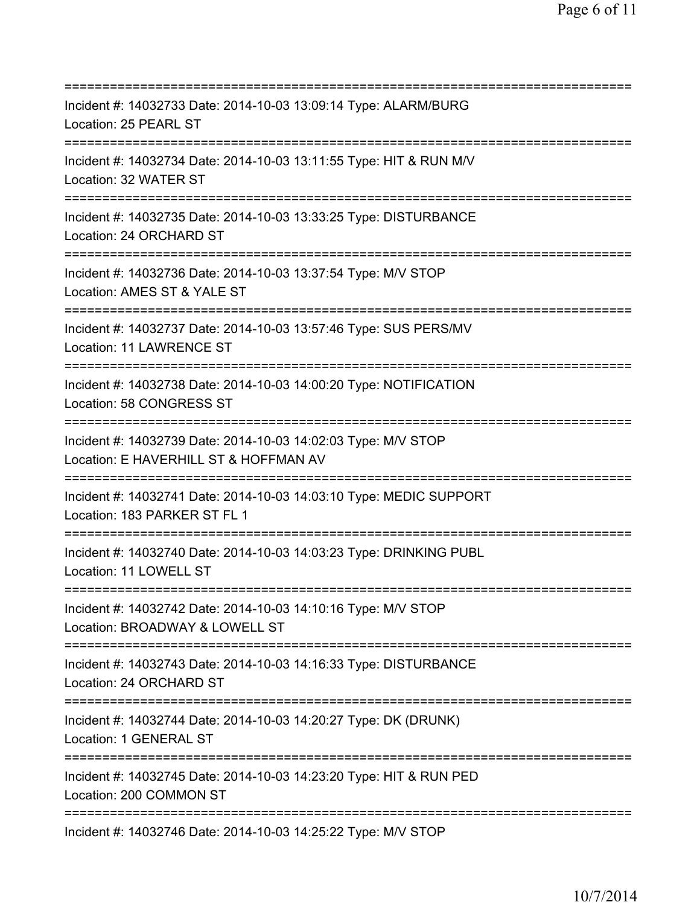=========================================================================== Incident #: 14032733 Date: 2014-10-03 13:09:14 Type: ALARM/BURG Location: 25 PEARL ST =========================================================================== Incident #: 14032734 Date: 2014-10-03 13:11:55 Type: HIT & RUN M/V Location: 32 WATER ST =========================================================================== Incident #: 14032735 Date: 2014-10-03 13:33:25 Type: DISTURBANCE Location: 24 ORCHARD ST =========================================================================== Incident #: 14032736 Date: 2014-10-03 13:37:54 Type: M/V STOP Location: AMES ST & YALE ST =========================================================================== Incident #: 14032737 Date: 2014-10-03 13:57:46 Type: SUS PERS/MV Location: 11 LAWRENCE ST =========================================================================== Incident #: 14032738 Date: 2014-10-03 14:00:20 Type: NOTIFICATION Location: 58 CONGRESS ST =========================================================================== Incident #: 14032739 Date: 2014-10-03 14:02:03 Type: M/V STOP Location: E HAVERHILL ST & HOFFMAN AV =========================================================================== Incident #: 14032741 Date: 2014-10-03 14:03:10 Type: MEDIC SUPPORT Location: 183 PARKER ST FL 1 =========================================================================== Incident #: 14032740 Date: 2014-10-03 14:03:23 Type: DRINKING PUBL Location: 11 LOWELL ST =========================================================================== Incident #: 14032742 Date: 2014-10-03 14:10:16 Type: M/V STOP Location: BROADWAY & LOWELL ST =========================================================================== Incident #: 14032743 Date: 2014-10-03 14:16:33 Type: DISTURBANCE Location: 24 ORCHARD ST =========================================================================== Incident #: 14032744 Date: 2014-10-03 14:20:27 Type: DK (DRUNK) Location: 1 GENERAL ST =========================================================================== Incident #: 14032745 Date: 2014-10-03 14:23:20 Type: HIT & RUN PED Location: 200 COMMON ST =========================================================================== Incident #: 14032746 Date: 2014-10-03 14:25:22 Type: M/V STOP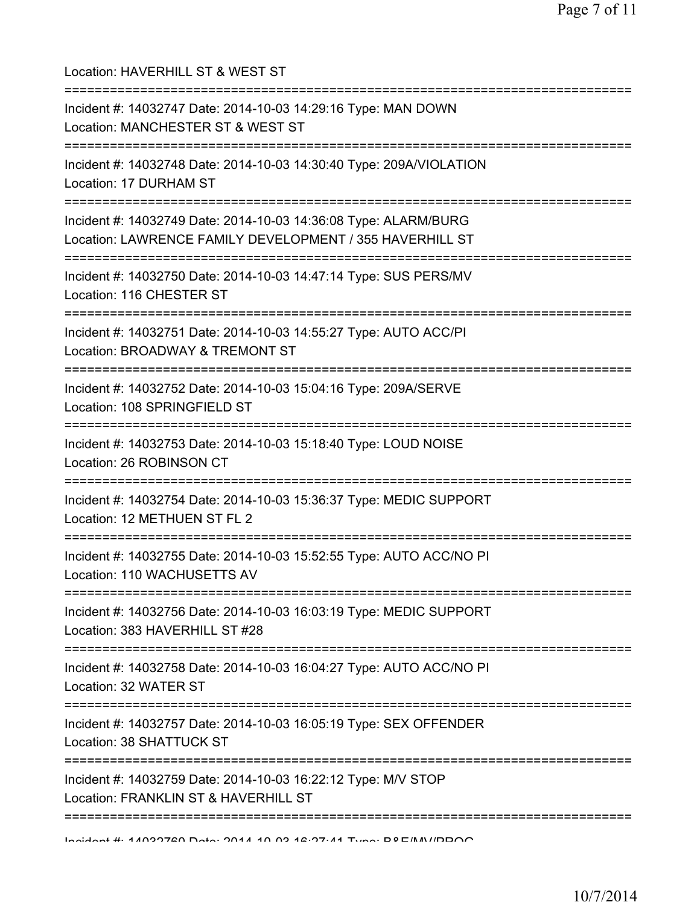Location: HAVERHILL ST & WEST ST =========================================================================== Incident #: 14032747 Date: 2014-10-03 14:29:16 Type: MAN DOWN Location: MANCHESTER ST & WEST ST =========================================================================== Incident #: 14032748 Date: 2014-10-03 14:30:40 Type: 209A/VIOLATION Location: 17 DURHAM ST =========================================================================== Incident #: 14032749 Date: 2014-10-03 14:36:08 Type: ALARM/BURG Location: LAWRENCE FAMILY DEVELOPMENT / 355 HAVERHILL ST =========================================================================== Incident #: 14032750 Date: 2014-10-03 14:47:14 Type: SUS PERS/MV Location: 116 CHESTER ST =========================================================================== Incident #: 14032751 Date: 2014-10-03 14:55:27 Type: AUTO ACC/PI Location: BROADWAY & TREMONT ST =========================================================================== Incident #: 14032752 Date: 2014-10-03 15:04:16 Type: 209A/SERVE Location: 108 SPRINGFIELD ST =========================================================================== Incident #: 14032753 Date: 2014-10-03 15:18:40 Type: LOUD NOISE Location: 26 ROBINSON CT =========================================================================== Incident #: 14032754 Date: 2014-10-03 15:36:37 Type: MEDIC SUPPORT Location: 12 METHUEN ST FL 2 =========================================================================== Incident #: 14032755 Date: 2014-10-03 15:52:55 Type: AUTO ACC/NO PI Location: 110 WACHUSETTS AV =========================================================================== Incident #: 14032756 Date: 2014-10-03 16:03:19 Type: MEDIC SUPPORT Location: 383 HAVERHILL ST #28 =========================================================================== Incident #: 14032758 Date: 2014-10-03 16:04:27 Type: AUTO ACC/NO PI Location: 32 WATER ST =========================================================================== Incident #: 14032757 Date: 2014-10-03 16:05:19 Type: SEX OFFENDER Location: 38 SHATTUCK ST =========================================================================== Incident #: 14032759 Date: 2014-10-03 16:22:12 Type: M/V STOP Location: FRANKLIN ST & HAVERHILL ST ===========================================================================

Incident #: 14032760 Date: 2014 10 03 16:27:41 Type: B&E/MV/PROG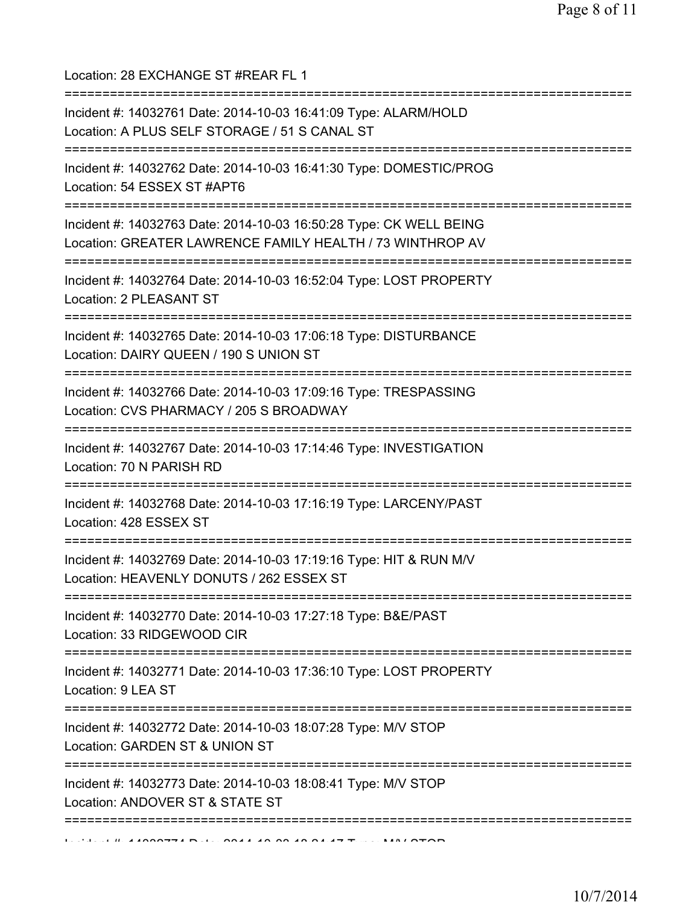Location: 28 EXCHANGE ST #REAR FL 1 =========================================================================== Incident #: 14032761 Date: 2014-10-03 16:41:09 Type: ALARM/HOLD Location: A PLUS SELF STORAGE / 51 S CANAL ST =========================================================================== Incident #: 14032762 Date: 2014-10-03 16:41:30 Type: DOMESTIC/PROG Location: 54 ESSEX ST #APT6 =========================================================================== Incident #: 14032763 Date: 2014-10-03 16:50:28 Type: CK WELL BEING Location: GREATER LAWRENCE FAMILY HEALTH / 73 WINTHROP AV =========================================================================== Incident #: 14032764 Date: 2014-10-03 16:52:04 Type: LOST PROPERTY Location: 2 PLEASANT ST =========================================================================== Incident #: 14032765 Date: 2014-10-03 17:06:18 Type: DISTURBANCE Location: DAIRY QUEEN / 190 S UNION ST =========================================================================== Incident #: 14032766 Date: 2014-10-03 17:09:16 Type: TRESPASSING Location: CVS PHARMACY / 205 S BROADWAY =========================================================================== Incident #: 14032767 Date: 2014-10-03 17:14:46 Type: INVESTIGATION Location: 70 N PARISH RD =========================================================================== Incident #: 14032768 Date: 2014-10-03 17:16:19 Type: LARCENY/PAST Location: 428 ESSEX ST =========================================================================== Incident #: 14032769 Date: 2014-10-03 17:19:16 Type: HIT & RUN M/V Location: HEAVENLY DONUTS / 262 ESSEX ST =========================================================================== Incident #: 14032770 Date: 2014-10-03 17:27:18 Type: B&E/PAST Location: 33 RIDGEWOOD CIR =========================================================================== Incident #: 14032771 Date: 2014-10-03 17:36:10 Type: LOST PROPERTY Location: 9 LEA ST =========================================================================== Incident #: 14032772 Date: 2014-10-03 18:07:28 Type: M/V STOP Location: GARDEN ST & UNION ST =========================================================================== Incident #: 14032773 Date: 2014-10-03 18:08:41 Type: M/V STOP Location: ANDOVER ST & STATE ST ===========================================================================  $11.41000774$  Dete: 2014 10 00 10 04 17 Type: MALOTOD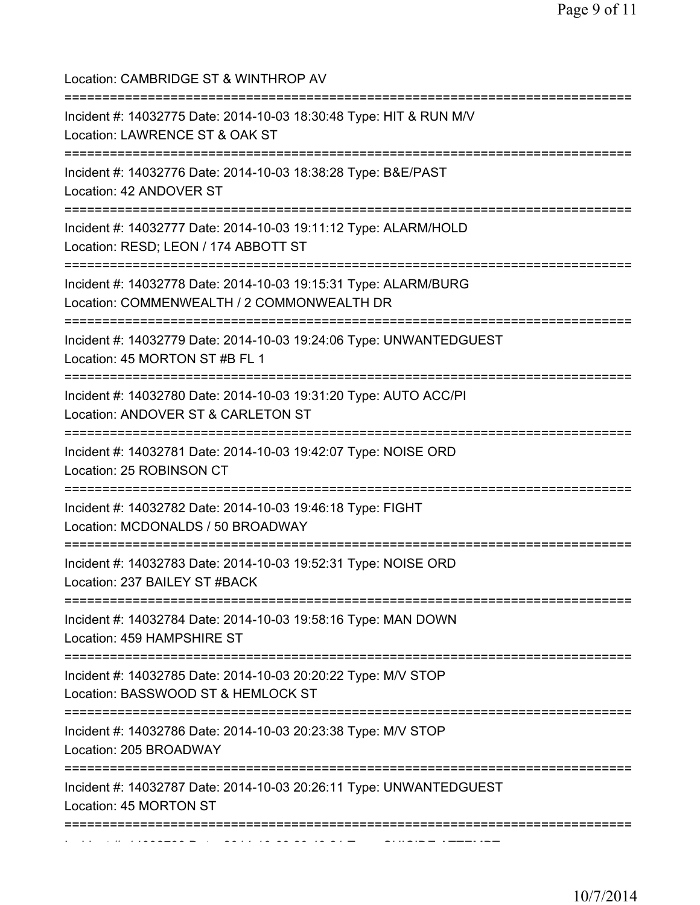| Location: CAMBRIDGE ST & WINTHROP AV                                                                                                                    |
|---------------------------------------------------------------------------------------------------------------------------------------------------------|
| Incident #: 14032775 Date: 2014-10-03 18:30:48 Type: HIT & RUN M/V<br>Location: LAWRENCE ST & OAK ST<br>================<br>-----------                 |
| Incident #: 14032776 Date: 2014-10-03 18:38:28 Type: B&E/PAST<br>Location: 42 ANDOVER ST                                                                |
| Incident #: 14032777 Date: 2014-10-03 19:11:12 Type: ALARM/HOLD<br>Location: RESD; LEON / 174 ABBOTT ST                                                 |
| Incident #: 14032778 Date: 2014-10-03 19:15:31 Type: ALARM/BURG<br>Location: COMMENWEALTH / 2 COMMONWEALTH DR<br>====================================== |
| Incident #: 14032779 Date: 2014-10-03 19:24:06 Type: UNWANTEDGUEST<br>Location: 45 MORTON ST #B FL 1                                                    |
| Incident #: 14032780 Date: 2014-10-03 19:31:20 Type: AUTO ACC/PI<br>Location: ANDOVER ST & CARLETON ST<br>==========================                    |
| Incident #: 14032781 Date: 2014-10-03 19:42:07 Type: NOISE ORD<br>Location: 25 ROBINSON CT                                                              |
| Incident #: 14032782 Date: 2014-10-03 19:46:18 Type: FIGHT<br>Location: MCDONALDS / 50 BROADWAY                                                         |
| ========================<br>Incident #: 14032783 Date: 2014-10-03 19:52:31 Type: NOISE ORD<br>Location: 237 BAILEY ST #BACK                             |
| Incident #: 14032784 Date: 2014-10-03 19:58:16 Type: MAN DOWN<br>Location: 459 HAMPSHIRE ST                                                             |
| Incident #: 14032785 Date: 2014-10-03 20:20:22 Type: M/V STOP<br>Location: BASSWOOD ST & HEMLOCK ST                                                     |
| Incident #: 14032786 Date: 2014-10-03 20:23:38 Type: M/V STOP<br>Location: 205 BROADWAY                                                                 |
| Incident #: 14032787 Date: 2014-10-03 20:26:11 Type: UNWANTEDGUEST<br>Location: 45 MORTON ST                                                            |
|                                                                                                                                                         |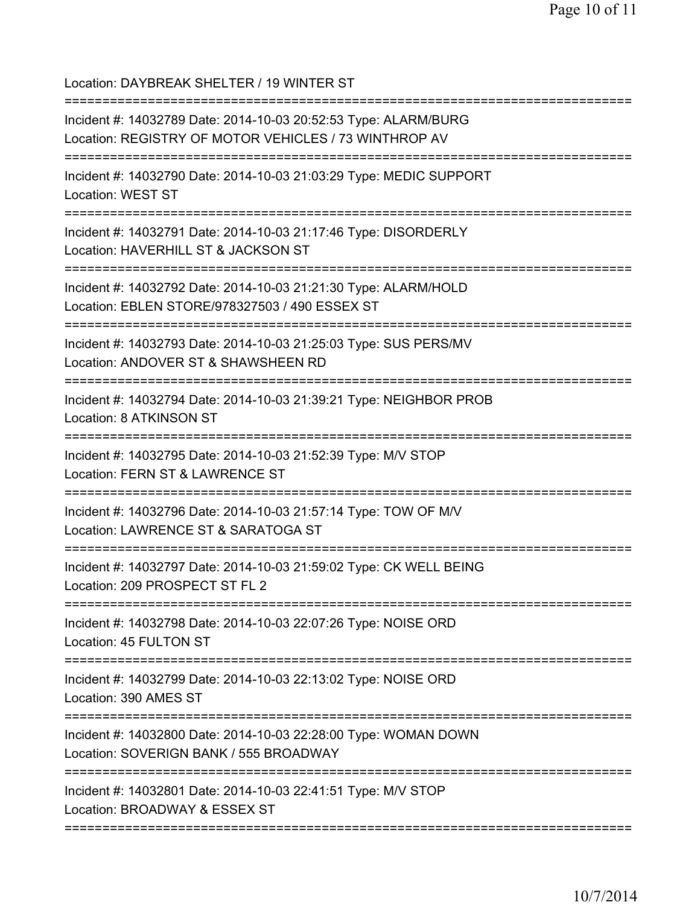Location: DAYBREAK SHELTER / 19 WINTER ST

=========================================================================== Incident #: 14032789 Date: 2014-10-03 20:52:53 Type: ALARM/BURG Location: REGISTRY OF MOTOR VEHICLES / 73 WINTHROP AV =========================================================================== Incident #: 14032790 Date: 2014-10-03 21:03:29 Type: MEDIC SUPPORT Location: WEST ST =========================================================================== Incident #: 14032791 Date: 2014-10-03 21:17:46 Type: DISORDERLY Location: HAVERHILL ST & JACKSON ST =========================================================================== Incident #: 14032792 Date: 2014-10-03 21:21:30 Type: ALARM/HOLD Location: EBLEN STORE/978327503 / 490 ESSEX ST =========================================================================== Incident #: 14032793 Date: 2014-10-03 21:25:03 Type: SUS PERS/MV Location: ANDOVER ST & SHAWSHEEN RD =========================================================================== Incident #: 14032794 Date: 2014-10-03 21:39:21 Type: NEIGHBOR PROB Location: 8 ATKINSON ST =========================================================================== Incident #: 14032795 Date: 2014-10-03 21:52:39 Type: M/V STOP Location: FERN ST & LAWRENCE ST =========================================================================== Incident #: 14032796 Date: 2014-10-03 21:57:14 Type: TOW OF M/V Location: LAWRENCE ST & SARATOGA ST =========================================================================== Incident #: 14032797 Date: 2014-10-03 21:59:02 Type: CK WELL BEING Location: 209 PROSPECT ST FL 2 =========================================================================== Incident #: 14032798 Date: 2014-10-03 22:07:26 Type: NOISE ORD Location: 45 FULTON ST =========================================================================== Incident #: 14032799 Date: 2014-10-03 22:13:02 Type: NOISE ORD Location: 390 AMES ST =========================================================================== Incident #: 14032800 Date: 2014-10-03 22:28:00 Type: WOMAN DOWN Location: SOVERIGN BANK / 555 BROADWAY =========================================================================== Incident #: 14032801 Date: 2014-10-03 22:41:51 Type: M/V STOP Location: BROADWAY & ESSEX ST ===========================================================================